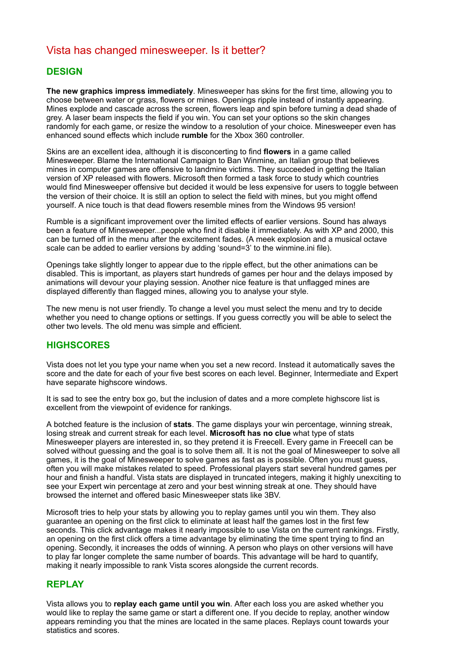# Vista has changed minesweeper. Is it better?

## **DESIGN**

**The new graphics impress immediately**. Minesweeper has skins for the first time, allowing you to choose between water or grass, flowers or mines. Openings ripple instead of instantly appearing. Mines explode and cascade across the screen, flowers leap and spin before turning a dead shade of grey. A laser beam inspects the field if you win. You can set your options so the skin changes randomly for each game, or resize the window to a resolution of your choice. Minesweeper even has enhanced sound effects which include **rumble** for the Xbox 360 controller.

Skins are an excellent idea, although it is disconcerting to find **flowers** in a game called Minesweeper. Blame the International Campaign to Ban Winmine, an Italian group that believes mines in computer games are offensive to landmine victims. They succeeded in getting the Italian version of XP released with flowers. Microsoft then formed a task force to study which countries would find Minesweeper offensive but decided it would be less expensive for users to toggle between the version of their choice. It is still an option to select the field with mines, but you might offend yourself. A nice touch is that dead flowers resemble mines from the Windows 95 version!

Rumble is a significant improvement over the limited effects of earlier versions. Sound has always been a feature of Minesweeper...people who find it disable it immediately. As with XP and 2000, this can be turned off in the menu after the excitement fades. (A meek explosion and a musical octave scale can be added to earlier versions by adding 'sound=3' to the winmine.ini file).

Openings take slightly longer to appear due to the ripple effect, but the other animations can be disabled. This is important, as players start hundreds of games per hour and the delays imposed by animations will devour your playing session. Another nice feature is that unflagged mines are displayed differently than flagged mines, allowing you to analyse your style.

The new menu is not user friendly. To change a level you must select the menu and try to decide whether you need to change options or settings. If you guess correctly you will be able to select the other two levels. The old menu was simple and efficient.

### **HIGHSCORES**

Vista does not let you type your name when you set a new record. Instead it automatically saves the score and the date for each of your five best scores on each level. Beginner, Intermediate and Expert have separate highscore windows.

It is sad to see the entry box go, but the inclusion of dates and a more complete highscore list is excellent from the viewpoint of evidence for rankings.

A botched feature is the inclusion of **stats**. The game displays your win percentage, winning streak, losing streak and current streak for each level. **Microsoft has no clue** what type of stats Minesweeper players are interested in, so they pretend it is Freecell. Every game in Freecell can be solved without guessing and the goal is to solve them all. It is not the goal of Minesweeper to solve all games, it is the goal of Minesweeper to solve games as fast as is possible. Often you must guess, often you will make mistakes related to speed. Professional players start several hundred games per hour and finish a handful. Vista stats are displayed in truncated integers, making it highly unexciting to see your Expert win percentage at zero and your best winning streak at one. They should have browsed the internet and offered basic Minesweeper stats like 3BV.

Microsoft tries to help your stats by allowing you to replay games until you win them. They also guarantee an opening on the first click to eliminate at least half the games lost in the first few seconds. This click advantage makes it nearly impossible to use Vista on the current rankings. Firstly, an opening on the first click offers a time advantage by eliminating the time spent trying to find an opening. Secondly, it increases the odds of winning. A person who plays on other versions will have to play far longer complete the same number of boards. This advantage will be hard to quantify, making it nearly impossible to rank Vista scores alongside the current records.

#### **REPLAY**

Vista allows you to **replay each game until you win**. After each loss you are asked whether you would like to replay the same game or start a different one. If you decide to replay, another window appears reminding you that the mines are located in the same places. Replays count towards your statistics and scores.